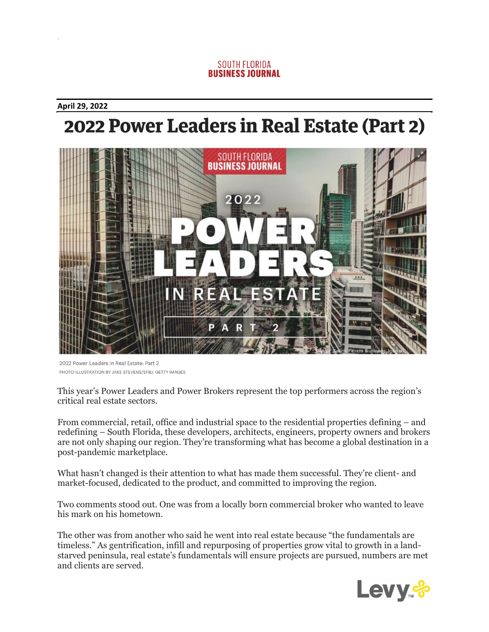## **SOUTH FLORIDA BUSINESS JOURNAL**

## **April 29, 2022**

# 2022 Power Leaders in Real Estate (Part 2)



2022 Power Leaders in Real Estate: Part 2 PHOTO ILLUSTRATION BY JAKE STEVENS/SFBJ; GETTY IMAGES

This year's Power Leaders and Power Brokers represent the top performers across the region's critical real estate sectors.

From commercial, retail, office and industrial space to the residential properties defining – and redefining – South Florida, these developers, architects, engineers, property owners and brokers are not only shaping our region. They're transforming what has become a global destination in a post-pandemic marketplace.

What hasn't changed is their attention to what has made them successful. They're client- and market-focused, dedicated to the product, and committed to improving the region.

Two comments stood out. One was from a locally born commercial broker who wanted to leave his mark on his hometown.

The other was from another who said he went into real estate because "the fundamentals are timeless." As gentrification, infill and repurposing of properties grow vital to growth in a landstarved peninsula, real estate's fundamentals will ensure projects are pursued, numbers are met and clients are served.

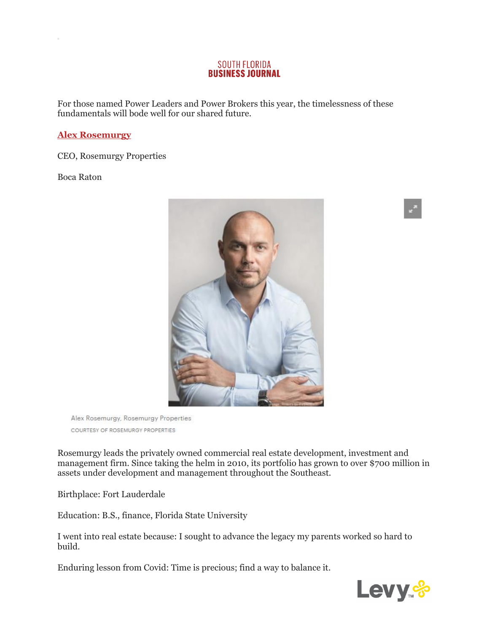#### **SOUTH FLORIDA BUSINESS JOURNAL**

For those named Power Leaders and Power Brokers this year, the timelessness of these fundamentals will bode well for our shared future.

# **[Alex Rosemurgy](https://www.bizjournals.com/southflorida/search/results?q=Alex%20Rosemurgy)**

CEO, Rosemurgy Properties

Boca Raton



Alex Rosemurgy, Rosemurgy Properties COURTESY OF ROSEMURGY PROPERTIES

Rosemurgy leads the privately owned commercial real estate development, investment and management firm. Since taking the helm in 2010, its portfolio has grown to over \$700 million in assets under development and management throughout the Southeast.

Birthplace: Fort Lauderdale

Education: B.S., finance, Florida State University

I went into real estate because: I sought to advance the legacy my parents worked so hard to build.

Enduring lesson from Covid: Time is precious; find a way to balance it.